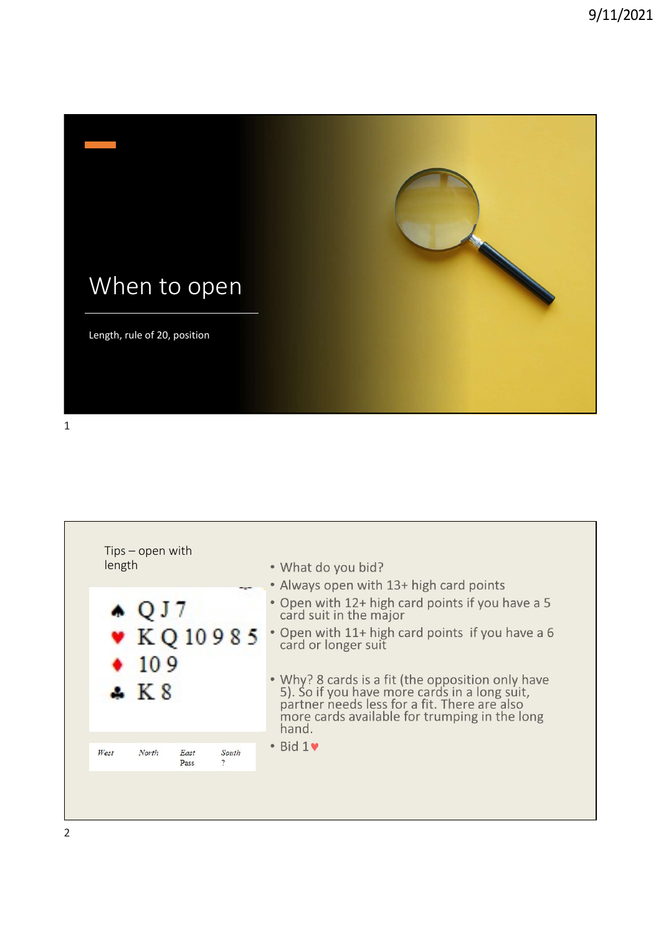



2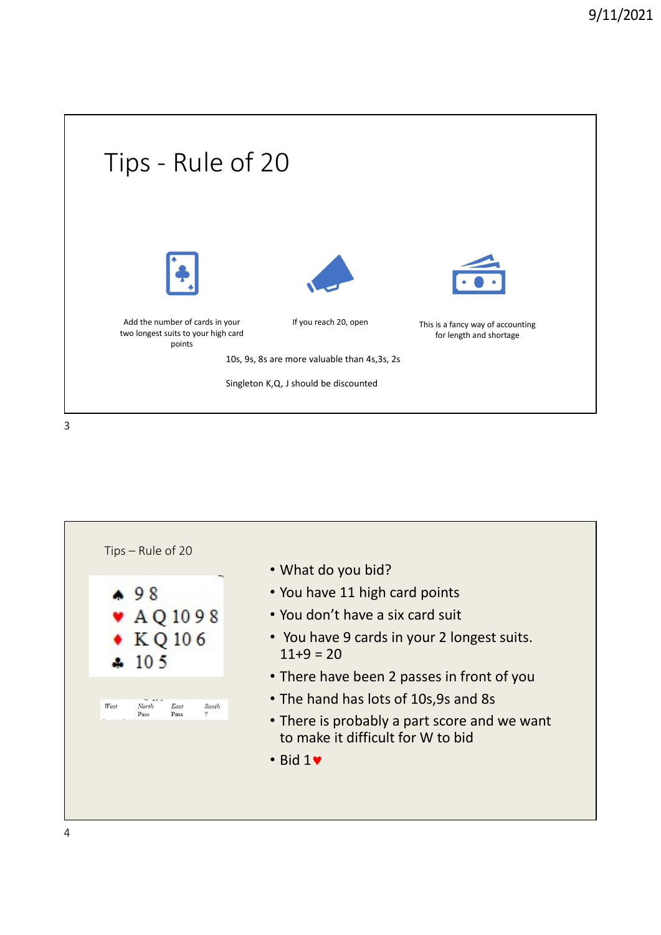